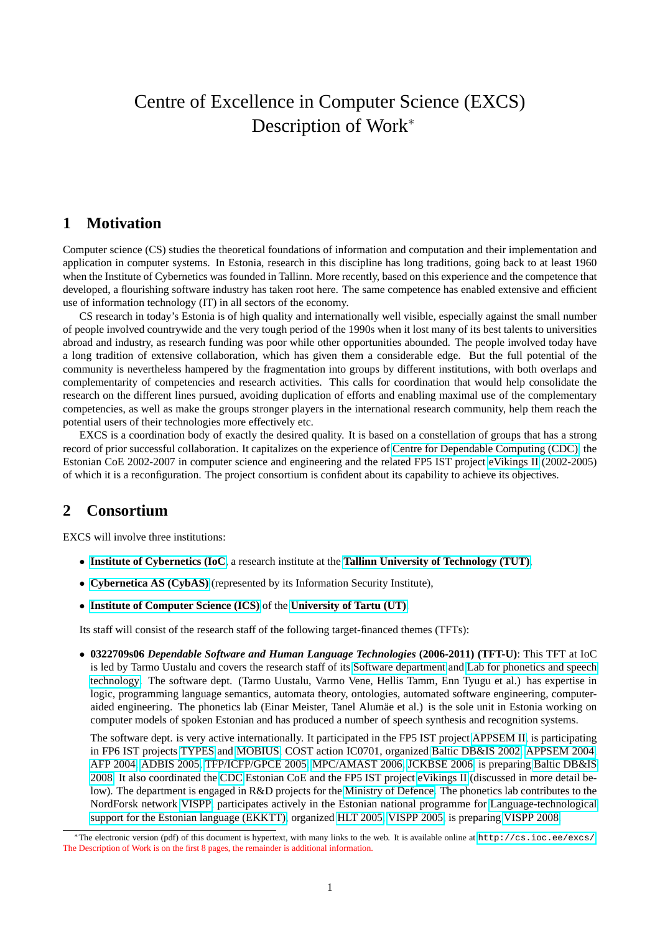# Centre of Excellence in Computer Science (EXCS) Description of Work<sup>∗</sup>

### **1 Motivation**

Computer science (CS) studies the theoretical foundations of information and computation and their implementation and application in computer systems. In Estonia, research in this discipline has long traditions, going back to at least 1960 when the Institute of Cybernetics was founded in Tallinn. More recently, based on this experience and the competence that developed, a flourishing software industry has taken root here. The same competence has enabled extensive and efficient use of information technology (IT) in all sectors of the economy.

CS research in today's Estonia is of high quality and internationally well visible, especially against the small number of people involved countrywide and the very tough period of the 1990s when it lost many of its best talents to universities abroad and industry, as research funding was poor while other opportunities abounded. The people involved today have a long tradition of extensive collaboration, which has given them a considerable edge. But the full potential of the community is nevertheless hampered by the fragmentation into groups by different institutions, with both overlaps and complementarity of competencies and research activities. This calls for coordination that would help consolidate the research on the different lines pursued, avoiding duplication of efforts and enabling maximal use of the complementary competencies, as well as make the groups stronger players in the international research community, help them reach the potential users of their technologies more effectively etc.

EXCS is a coordination body of exactly the desired quality. It is based on a constellation of groups that has a strong record of prior successful collaboration. It capitalizes on the experience of [Centre for Dependable Computing \(CDC\),](http://cdc.ioc.ee/) the Estonian CoE 2002-2007 in computer science and engineering and the related FP5 IST project [eVikings II](http://ev2.ioc.ee/) (2002-2005) of which it is a reconfiguration. The project consortium is confident about its capability to achieve its objectives.

## **2 Consortium**

EXCS will involve three institutions:

- **[Institute of Cybernetics \(IoC](http://www.ioc.ee/)**, a research institute at the **[Tallinn University of Technology \(TUT\)](http://www.ttu.ee/)**,
- **[Cybernetica AS \(CybAS\)](http://www.cyber.ee/)** (represented by its Information Security Institute),
- **[Institute of Computer Science \(ICS\)](http://www.math.ut.ee/ati/)** of the **[University of Tartu \(UT\)](http://www.ut.ee/)**.

Its staff will consist of the research staff of the following target-financed themes (TFTs):

• **0322709s06** *Dependable Software and Human Language Technologies* **(2006-2011) (TFT-U)**: This TFT at IoC is led by Tarmo Uustalu and covers the research staff of its [Software department](http://cs.ioc.ee/) and [Lab for phonetics and speech](http://phon.ioc.ee/) [technology.](http://phon.ioc.ee/) The software dept. (Tarmo Uustalu, Varmo Vene, Hellis Tamm, Enn Tyugu et al.) has expertise in logic, programming language semantics, automata theory, ontologies, automated software engineering, computeraided engineering. The phonetics lab (Einar Meister, Tanel Alumäe et al.) is the sole unit in Estonia working on computer models of spoken Estonian and has produced a number of speech synthesis and recognition systems.

The software dept. is very active internationally. It participated in the FP5 IST project [APPSEM II,](http://www.appsem.org/) is participating in FP6 IST projects [TYPES](http://www.cs.chalmers.se/Cs/Research/Logic/Types/) and [MOBIUS,](http://mobius.inria.fr/) COST action IC0701, organized [Baltic DB&IS 2002,](http://cs.ioc.ee/~balt2002/) [APPSEM 2004,](http://cs.ioc.ee/appsem04/) [AFP 2004,](http://www.cs.ut.ee/afp04/) [ADBIS 2005,](http://cs.ioc.ee/adbis05/) [TFP/ICFP/GPCE 2005,](http://cs.ioc.ee/tfp-icfp-gpce05/) [MPC/AMAST 2006,](http://cs.ioc.ee/mpc-amast06/) [JCKBSE 2006,](http://ioc.ee/jckbse06/) is preparing [Baltic DB&IS](http://cs.ioc.ee/balt2008/) [2008.](http://cs.ioc.ee/balt2008/) It also coordinated the [CDC](http://cdc.ioc.ee/) Estonian CoE and the FP5 IST project [eVikings II](http://ev2.ioc.ee/) (discussed in more detail be-low). The department is engaged in R&D projects for the [Ministry of Defence.](http://www.mod.gov.ee/) The phonetics lab contributes to the NordForsk network [VISPP,](http://www.hf.uio.no/iln/forskning/forskningsprosjekter/vispp/) participates actively in the Estonian national programme for [Language-technological](http://www.keeletehnoloogia.ee/) [support for the Estonian language \(EKKTT\),](http://www.keeletehnoloogia.ee/) organized [HLT 2005,](http://ioc.ee/hlt2005/) [VISPP 2005,](http://ioc.ee/vispp2005/) is preparing [VISPP 2008.](http://ioc.ee/vispp2008/)

<sup>∗</sup>The electronic version (pdf) of this document is hypertext, with many links to the web. It is available online at <http://cs.ioc.ee/excs/>. The Description of Work is on the first 8 pages, the remainder is additional information.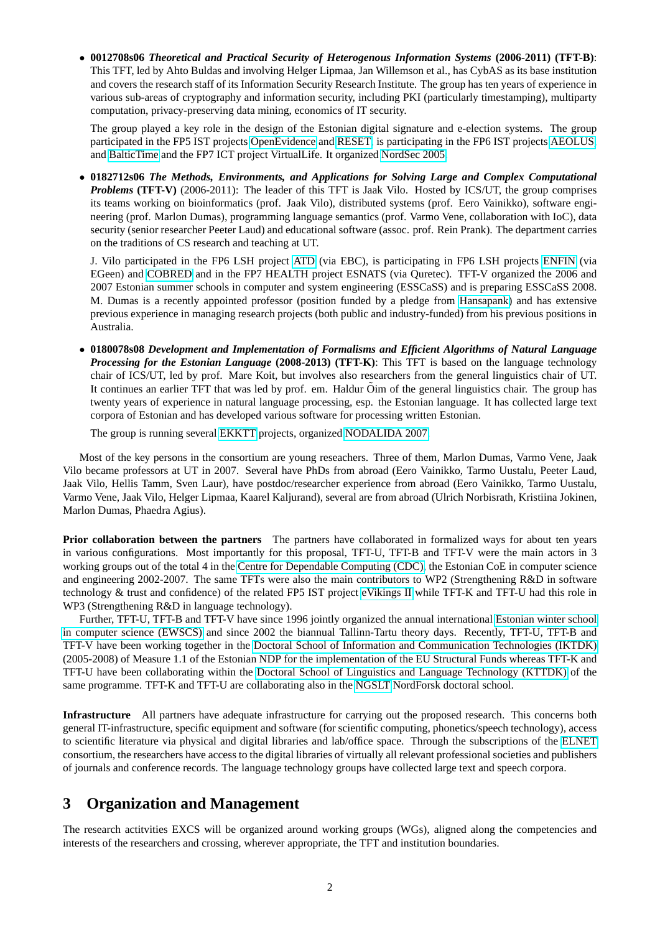• **0012708s06** *Theoretical and Practical Security of Heterogenous Information Systems* **(2006-2011) (TFT-B)**: This TFT, led by Ahto Buldas and involving Helger Lipmaa, Jan Willemson et al., has CybAS as its base institution and covers the research staff of its Information Security Research Institute. The group has ten years of experience in various sub-areas of cryptography and information security, including PKI (particularly timestamping), multiparty computation, privacy-preserving data mining, economics of IT security.

The group played a key role in the design of the Estonian digital signature and e-election systems. The group participated in the FP5 IST projects [OpenEvidence](http://www.openevidence.org/) and [RESET,](http://www.ercim.org/reset/) is participating in the FP6 IST projects [AEOLUS,](http://aeolus.ceid.upatras.gr/) and [BalticTime](http://www.baltictime.lt/) and the FP7 ICT project VirtualLife. It organized [NordSec 2005.](http://www.cyber.ee/english/NORDSEC2005/)

• **0182712s06** *The Methods, Environments, and Applications for Solving Large and Complex Computational Problems* **(TFT-V)** (2006-2011): The leader of this TFT is Jaak Vilo. Hosted by ICS/UT, the group comprises its teams working on bioinformatics (prof. Jaak Vilo), distributed systems (prof. Eero Vainikko), software engineering (prof. Marlon Dumas), programming language semantics (prof. Varmo Vene, collaboration with IoC), data security (senior researcher Peeter Laud) and educational software (assoc. prof. Rein Prank). The department carries on the traditions of CS research and teaching at UT.

J. Vilo participated in the FP6 LSH project [ATD](http://www.atdproject.org/) (via EBC), is participating in FP6 LSH projects [ENFIN](http://www.enfin.org) (via EGeen) and [COBRED](http://www.cobred.eu/) and in the FP7 HEALTH project ESNATS (via Quretec). TFT-V organized the 2006 and 2007 Estonian summer schools in computer and system engineering (ESSCaSS) and is preparing ESSCaSS 2008. M. Dumas is a recently appointed professor (position funded by a pledge from [Hansapank\)](http://www.hansa.ee/) and has extensive previous experience in managing research projects (both public and industry-funded) from his previous positions in Australia.

• **0180078s08** *Development and Implementation of Formalisms and Efficient Algorithms of Natural Language Processing for the Estonian Language* **(2008-2013) (TFT-K)**: This TFT is based on the language technology chair of ICS/UT, led by prof. Mare Koit, but involves also researchers from the general linguistics chair of UT. It continues an earlier TFT that was led by prof. em. Haldur  $\tilde{O}$ im of the general linguistics chair. The group has twenty years of experience in natural language processing, esp. the Estonian language. It has collected large text corpora of Estonian and has developed various software for processing written Estonian.

The group is running several [EKKTT](http://www.keeletehnoloogia.ee/) projects, organized [NODALIDA 2007.](http://math.ut.ee/nodalida2007/)

Most of the key persons in the consortium are young reseachers. Three of them, Marlon Dumas, Varmo Vene, Jaak Vilo became professors at UT in 2007. Several have PhDs from abroad (Eero Vainikko, Tarmo Uustalu, Peeter Laud, Jaak Vilo, Hellis Tamm, Sven Laur), have postdoc/researcher experience from abroad (Eero Vainikko, Tarmo Uustalu, Varmo Vene, Jaak Vilo, Helger Lipmaa, Kaarel Kaljurand), several are from abroad (Ulrich Norbisrath, Kristiina Jokinen, Marlon Dumas, Phaedra Agius).

**Prior collaboration between the partners** The partners have collaborated in formalized ways for about ten years in various configurations. Most importantly for this proposal, TFT-U, TFT-B and TFT-V were the main actors in 3 working groups out of the total 4 in the [Centre for Dependable Computing \(CDC\),](http://cdc.ioc.ee) the Estonian CoE in computer science and engineering 2002-2007. The same TFTs were also the main contributors to WP2 (Strengthening R&D in software technology & trust and confidence) of the related FP5 IST project [eVikings II](http://ev2.ioc.ee/) while TFT-K and TFT-U had this role in WP3 (Strengthening R&D in language technology).

Further, TFT-U, TFT-B and TFT-V have since 1996 jointly organized the annual international [Estonian winter school](http://cs.ioc.ee/ewscs/) [in computer science \(EWSCS\)](http://cs.ioc.ee/ewscs/) and since 2002 the biannual Tallinn-Tartu theory days. Recently, TFT-U, TFT-B and TFT-V have been working together in the [Doctoral School of Information and Communication Technologies \(IKTDK\)](http://iktdk.ioc.ee/) (2005-2008) of Measure 1.1 of the Estonian NDP for the implementation of the EU Structural Funds whereas TFT-K and TFT-U have been collaborating within the [Doctoral School of Linguistics and Language Technology \(KTTDK\)](http://www.fl.ut.ee/kttdk/) of the same programme. TFT-K and TFT-U are collaborating also in the [NGSLT](http://www.ngslt.org/) NordForsk doctoral school.

**Infrastructure** All partners have adequate infrastructure for carrying out the proposed research. This concerns both general IT-infrastructure, specific equipment and software (for scientific computing, phonetics/speech technology), access to scientific literature via physical and digital libraries and lab/office space. Through the subscriptions of the [ELNET](http://www.elnet.ee/) consortium, the researchers have access to the digital libraries of virtually all relevant professional societies and publishers of journals and conference records. The language technology groups have collected large text and speech corpora.

## **3 Organization and Management**

The research actitvities EXCS will be organized around working groups (WGs), aligned along the competencies and interests of the researchers and crossing, wherever appropriate, the TFT and institution boundaries.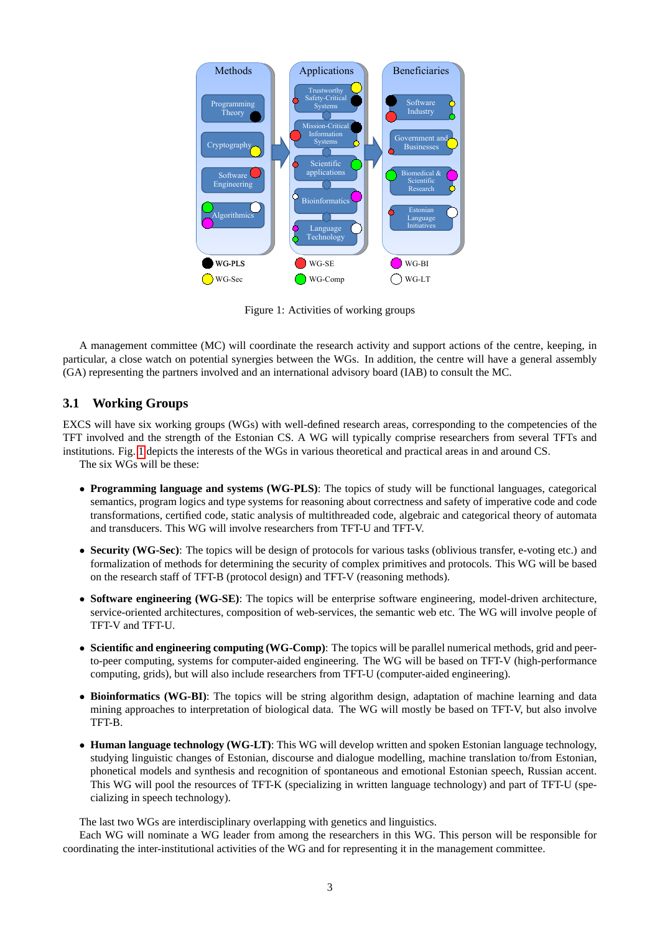

<span id="page-2-0"></span>Figure 1: Activities of working groups

A management committee (MC) will coordinate the research activity and support actions of the centre, keeping, in particular, a close watch on potential synergies between the WGs. In addition, the centre will have a general assembly (GA) representing the partners involved and an international advisory board (IAB) to consult the MC.

## **3.1 Working Groups**

EXCS will have six working groups (WGs) with well-defined research areas, corresponding to the competencies of the TFT involved and the strength of the Estonian CS. A WG will typically comprise researchers from several TFTs and institutions. Fig. [1](#page-2-0) depicts the interests of the WGs in various theoretical and practical areas in and around CS.

The six WGs will be these:

- **Programming language and systems (WG-PLS)**: The topics of study will be functional languages, categorical semantics, program logics and type systems for reasoning about correctness and safety of imperative code and code transformations, certified code, static analysis of multithreaded code, algebraic and categorical theory of automata and transducers. This WG will involve researchers from TFT-U and TFT-V.
- **Security (WG-Sec)**: The topics will be design of protocols for various tasks (oblivious transfer, e-voting etc.) and formalization of methods for determining the security of complex primitives and protocols. This WG will be based on the research staff of TFT-B (protocol design) and TFT-V (reasoning methods).
- **Software engineering (WG-SE)**: The topics will be enterprise software engineering, model-driven architecture, service-oriented architectures, composition of web-services, the semantic web etc. The WG will involve people of TFT-V and TFT-U.
- **Scientific and engineering computing (WG-Comp)**: The topics will be parallel numerical methods, grid and peerto-peer computing, systems for computer-aided engineering. The WG will be based on TFT-V (high-performance computing, grids), but will also include researchers from TFT-U (computer-aided engineering).
- **Bioinformatics (WG-BI)**: The topics will be string algorithm design, adaptation of machine learning and data mining approaches to interpretation of biological data. The WG will mostly be based on TFT-V, but also involve TFT-B.
- **Human language technology (WG-LT)**: This WG will develop written and spoken Estonian language technology, studying linguistic changes of Estonian, discourse and dialogue modelling, machine translation to/from Estonian, phonetical models and synthesis and recognition of spontaneous and emotional Estonian speech, Russian accent. This WG will pool the resources of TFT-K (specializing in written language technology) and part of TFT-U (specializing in speech technology).

The last two WGs are interdisciplinary overlapping with genetics and linguistics.

Each WG will nominate a WG leader from among the researchers in this WG. This person will be responsible for coordinating the inter-institutional activities of the WG and for representing it in the management committee.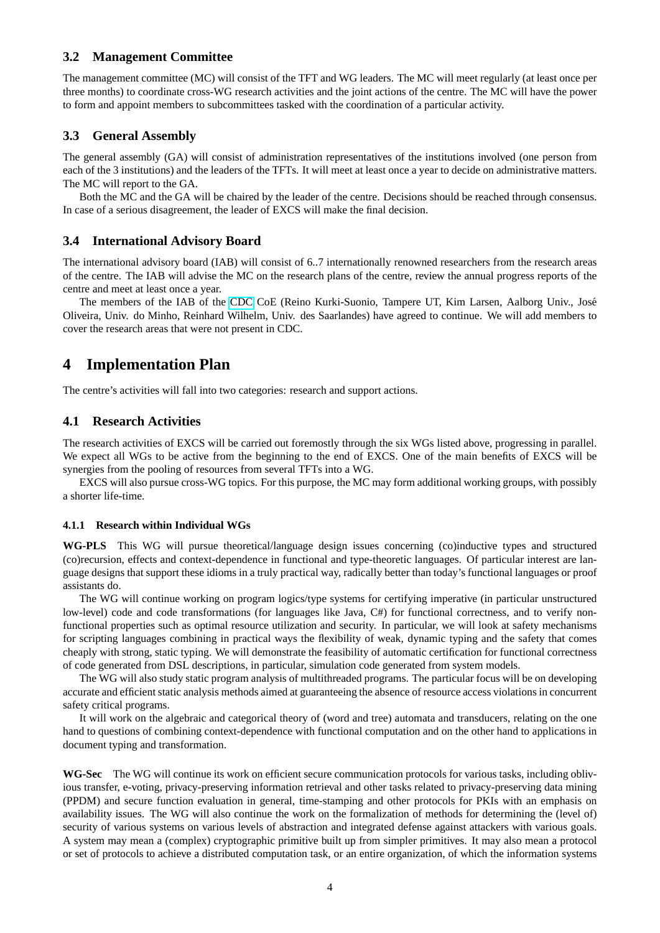#### **3.2 Management Committee**

The management committee (MC) will consist of the TFT and WG leaders. The MC will meet regularly (at least once per three months) to coordinate cross-WG research activities and the joint actions of the centre. The MC will have the power to form and appoint members to subcommittees tasked with the coordination of a particular activity.

#### **3.3 General Assembly**

The general assembly (GA) will consist of administration representatives of the institutions involved (one person from each of the 3 institutions) and the leaders of the TFTs. It will meet at least once a year to decide on administrative matters. The MC will report to the GA.

Both the MC and the GA will be chaired by the leader of the centre. Decisions should be reached through consensus. In case of a serious disagreement, the leader of EXCS will make the final decision.

#### **3.4 International Advisory Board**

The international advisory board (IAB) will consist of 6..7 internationally renowned researchers from the research areas of the centre. The IAB will advise the MC on the research plans of the centre, review the annual progress reports of the centre and meet at least once a year.

The members of the IAB of the [CDC](http://cdc.ioc.ee/) CoE (Reino Kurki-Suonio, Tampere UT, Kim Larsen, Aalborg Univ., Jose´ Oliveira, Univ. do Minho, Reinhard Wilhelm, Univ. des Saarlandes) have agreed to continue. We will add members to cover the research areas that were not present in CDC.

## **4 Implementation Plan**

The centre's activities will fall into two categories: research and support actions.

#### **4.1 Research Activities**

The research activities of EXCS will be carried out foremostly through the six WGs listed above, progressing in parallel. We expect all WGs to be active from the beginning to the end of EXCS. One of the main benefits of EXCS will be synergies from the pooling of resources from several TFTs into a WG.

EXCS will also pursue cross-WG topics. For this purpose, the MC may form additional working groups, with possibly a shorter life-time.

#### **4.1.1 Research within Individual WGs**

**WG-PLS** This WG will pursue theoretical/language design issues concerning (co)inductive types and structured (co)recursion, effects and context-dependence in functional and type-theoretic languages. Of particular interest are language designs that support these idioms in a truly practical way, radically better than today's functional languages or proof assistants do.

The WG will continue working on program logics/type systems for certifying imperative (in particular unstructured low-level) code and code transformations (for languages like Java, C#) for functional correctness, and to verify nonfunctional properties such as optimal resource utilization and security. In particular, we will look at safety mechanisms for scripting languages combining in practical ways the flexibility of weak, dynamic typing and the safety that comes cheaply with strong, static typing. We will demonstrate the feasibility of automatic certification for functional correctness of code generated from DSL descriptions, in particular, simulation code generated from system models.

The WG will also study static program analysis of multithreaded programs. The particular focus will be on developing accurate and efficient static analysis methods aimed at guaranteeing the absence of resource access violations in concurrent safety critical programs.

It will work on the algebraic and categorical theory of (word and tree) automata and transducers, relating on the one hand to questions of combining context-dependence with functional computation and on the other hand to applications in document typing and transformation.

**WG-Sec** The WG will continue its work on efficient secure communication protocols for various tasks, including oblivious transfer, e-voting, privacy-preserving information retrieval and other tasks related to privacy-preserving data mining (PPDM) and secure function evaluation in general, time-stamping and other protocols for PKIs with an emphasis on availability issues. The WG will also continue the work on the formalization of methods for determining the (level of) security of various systems on various levels of abstraction and integrated defense against attackers with various goals. A system may mean a (complex) cryptographic primitive built up from simpler primitives. It may also mean a protocol or set of protocols to achieve a distributed computation task, or an entire organization, of which the information systems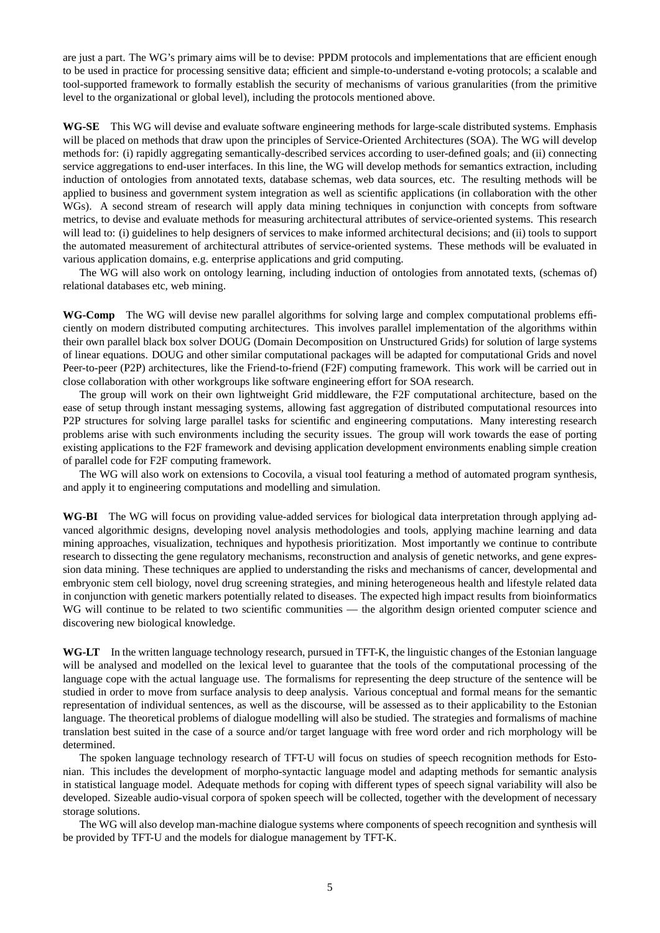are just a part. The WG's primary aims will be to devise: PPDM protocols and implementations that are efficient enough to be used in practice for processing sensitive data; efficient and simple-to-understand e-voting protocols; a scalable and tool-supported framework to formally establish the security of mechanisms of various granularities (from the primitive level to the organizational or global level), including the protocols mentioned above.

**WG-SE** This WG will devise and evaluate software engineering methods for large-scale distributed systems. Emphasis will be placed on methods that draw upon the principles of Service-Oriented Architectures (SOA). The WG will develop methods for: (i) rapidly aggregating semantically-described services according to user-defined goals; and (ii) connecting service aggregations to end-user interfaces. In this line, the WG will develop methods for semantics extraction, including induction of ontologies from annotated texts, database schemas, web data sources, etc. The resulting methods will be applied to business and government system integration as well as scientific applications (in collaboration with the other WGs). A second stream of research will apply data mining techniques in conjunction with concepts from software metrics, to devise and evaluate methods for measuring architectural attributes of service-oriented systems. This research will lead to: (i) guidelines to help designers of services to make informed architectural decisions; and (ii) tools to support the automated measurement of architectural attributes of service-oriented systems. These methods will be evaluated in various application domains, e.g. enterprise applications and grid computing.

The WG will also work on ontology learning, including induction of ontologies from annotated texts, (schemas of) relational databases etc, web mining.

**WG-Comp** The WG will devise new parallel algorithms for solving large and complex computational problems efficiently on modern distributed computing architectures. This involves parallel implementation of the algorithms within their own parallel black box solver DOUG (Domain Decomposition on Unstructured Grids) for solution of large systems of linear equations. DOUG and other similar computational packages will be adapted for computational Grids and novel Peer-to-peer (P2P) architectures, like the Friend-to-friend (F2F) computing framework. This work will be carried out in close collaboration with other workgroups like software engineering effort for SOA research.

The group will work on their own lightweight Grid middleware, the F2F computational architecture, based on the ease of setup through instant messaging systems, allowing fast aggregation of distributed computational resources into P2P structures for solving large parallel tasks for scientific and engineering computations. Many interesting research problems arise with such environments including the security issues. The group will work towards the ease of porting existing applications to the F2F framework and devising application development environments enabling simple creation of parallel code for F2F computing framework.

The WG will also work on extensions to Cocovila, a visual tool featuring a method of automated program synthesis, and apply it to engineering computations and modelling and simulation.

**WG-BI** The WG will focus on providing value-added services for biological data interpretation through applying advanced algorithmic designs, developing novel analysis methodologies and tools, applying machine learning and data mining approaches, visualization, techniques and hypothesis prioritization. Most importantly we continue to contribute research to dissecting the gene regulatory mechanisms, reconstruction and analysis of genetic networks, and gene expression data mining. These techniques are applied to understanding the risks and mechanisms of cancer, developmental and embryonic stem cell biology, novel drug screening strategies, and mining heterogeneous health and lifestyle related data in conjunction with genetic markers potentially related to diseases. The expected high impact results from bioinformatics WG will continue to be related to two scientific communities — the algorithm design oriented computer science and discovering new biological knowledge.

**WG-LT** In the written language technology research, pursued in TFT-K, the linguistic changes of the Estonian language will be analysed and modelled on the lexical level to guarantee that the tools of the computational processing of the language cope with the actual language use. The formalisms for representing the deep structure of the sentence will be studied in order to move from surface analysis to deep analysis. Various conceptual and formal means for the semantic representation of individual sentences, as well as the discourse, will be assessed as to their applicability to the Estonian language. The theoretical problems of dialogue modelling will also be studied. The strategies and formalisms of machine translation best suited in the case of a source and/or target language with free word order and rich morphology will be determined.

The spoken language technology research of TFT-U will focus on studies of speech recognition methods for Estonian. This includes the development of morpho-syntactic language model and adapting methods for semantic analysis in statistical language model. Adequate methods for coping with different types of speech signal variability will also be developed. Sizeable audio-visual corpora of spoken speech will be collected, together with the development of necessary storage solutions.

The WG will also develop man-machine dialogue systems where components of speech recognition and synthesis will be provided by TFT-U and the models for dialogue management by TFT-K.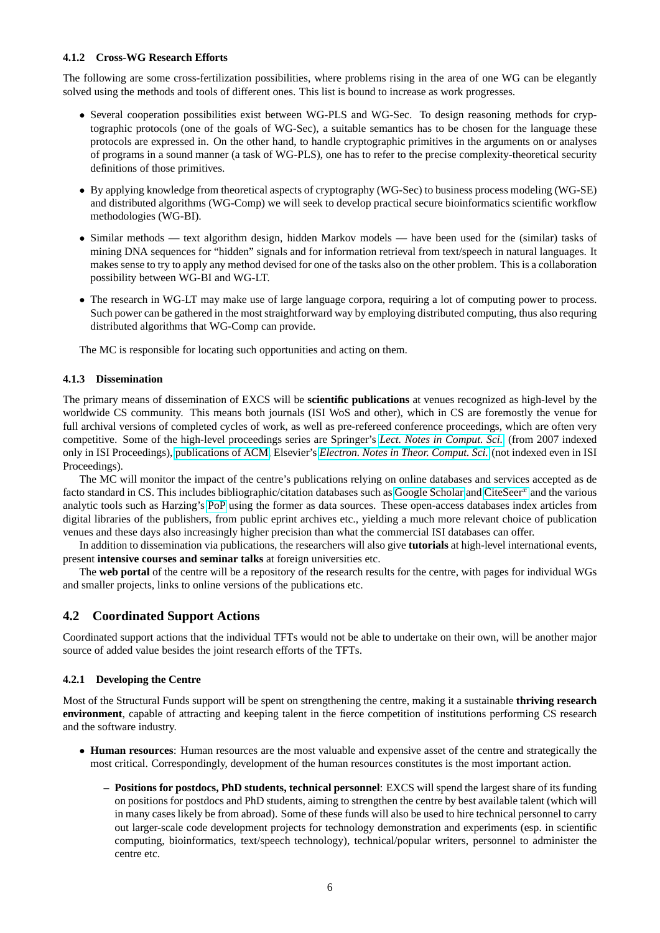#### **4.1.2 Cross-WG Research Efforts**

The following are some cross-fertilization possibilities, where problems rising in the area of one WG can be elegantly solved using the methods and tools of different ones. This list is bound to increase as work progresses.

- Several cooperation possibilities exist between WG-PLS and WG-Sec. To design reasoning methods for cryptographic protocols (one of the goals of WG-Sec), a suitable semantics has to be chosen for the language these protocols are expressed in. On the other hand, to handle cryptographic primitives in the arguments on or analyses of programs in a sound manner (a task of WG-PLS), one has to refer to the precise complexity-theoretical security definitions of those primitives.
- By applying knowledge from theoretical aspects of cryptography (WG-Sec) to business process modeling (WG-SE) and distributed algorithms (WG-Comp) we will seek to develop practical secure bioinformatics scientific workflow methodologies (WG-BI).
- Similar methods text algorithm design, hidden Markov models have been used for the (similar) tasks of mining DNA sequences for "hidden" signals and for information retrieval from text/speech in natural languages. It makes sense to try to apply any method devised for one of the tasks also on the other problem. This is a collaboration possibility between WG-BI and WG-LT.
- The research in WG-LT may make use of large language corpora, requiring a lot of computing power to process. Such power can be gathered in the most straightforward way by employing distributed computing, thus also requring distributed algorithms that WG-Comp can provide.

The MC is responsible for locating such opportunities and acting on them.

#### **4.1.3 Dissemination**

The primary means of dissemination of EXCS will be **scientific publications** at venues recognized as high-level by the worldwide CS community. This means both journals (ISI WoS and other), which in CS are foremostly the venue for full archival versions of completed cycles of work, as well as pre-refereed conference proceedings, which are often very competitive. Some of the high-level proceedings series are Springer's *[Lect. Notes in Comput. Sci.](http://www.springer.com/comp/lncs/)* (from 2007 indexed only in ISI Proceedings), [publications of ACM,](http://www.acm.org/publications) Elsevier's *[Electron. Notes in Theor. Comput. Sci.](http://www.elsevier.com/locate/entcs)* (not indexed even in ISI Proceedings).

The MC will monitor the impact of the centre's publications relying on online databases and services accepted as de facto standard in CS. This includes bibliographic/citation databases such as [Google Scholar](http://scholar.google.com/) and [CiteSeer](http://citeseerx.ist.psu.edu/)<sup>x</sup> and the various analytic tools such as Harzing's [PoP](http://www.harzing.com/pop.htm) using the former as data sources. These open-access databases index articles from digital libraries of the publishers, from public eprint archives etc., yielding a much more relevant choice of publication venues and these days also increasingly higher precision than what the commercial ISI databases can offer.

In addition to dissemination via publications, the researchers will also give **tutorials** at high-level international events, present **intensive courses and seminar talks** at foreign universities etc.

The **web portal** of the centre will be a repository of the research results for the centre, with pages for individual WGs and smaller projects, links to online versions of the publications etc.

#### **4.2 Coordinated Support Actions**

Coordinated support actions that the individual TFTs would not be able to undertake on their own, will be another major source of added value besides the joint research efforts of the TFTs.

#### **4.2.1 Developing the Centre**

Most of the Structural Funds support will be spent on strengthening the centre, making it a sustainable **thriving research environment**, capable of attracting and keeping talent in the fierce competition of institutions performing CS research and the software industry.

- **Human resources**: Human resources are the most valuable and expensive asset of the centre and strategically the most critical. Correspondingly, development of the human resources constitutes is the most important action.
	- **– Positions for postdocs, PhD students, technical personnel**: EXCS will spend the largest share of its funding on positions for postdocs and PhD students, aiming to strengthen the centre by best available talent (which will in many cases likely be from abroad). Some of these funds will also be used to hire technical personnel to carry out larger-scale code development projects for technology demonstration and experiments (esp. in scientific computing, bioinformatics, text/speech technology), technical/popular writers, personnel to administer the centre etc.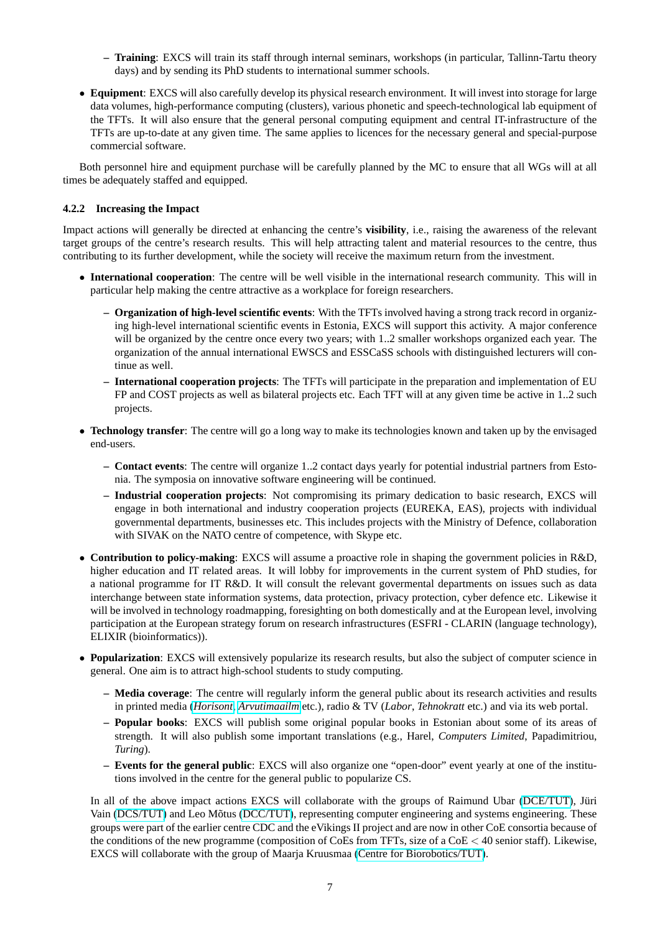- **– Training**: EXCS will train its staff through internal seminars, workshops (in particular, Tallinn-Tartu theory days) and by sending its PhD students to international summer schools.
- **Equipment**: EXCS will also carefully develop its physical research environment. It will invest into storage for large data volumes, high-performance computing (clusters), various phonetic and speech-technological lab equipment of the TFTs. It will also ensure that the general personal computing equipment and central IT-infrastructure of the TFTs are up-to-date at any given time. The same applies to licences for the necessary general and special-purpose commercial software.

Both personnel hire and equipment purchase will be carefully planned by the MC to ensure that all WGs will at all times be adequately staffed and equipped.

#### **4.2.2 Increasing the Impact**

Impact actions will generally be directed at enhancing the centre's **visibility**, i.e., raising the awareness of the relevant target groups of the centre's research results. This will help attracting talent and material resources to the centre, thus contributing to its further development, while the society will receive the maximum return from the investment.

- **International cooperation**: The centre will be well visible in the international research community. This will in particular help making the centre attractive as a workplace for foreign researchers.
	- **– Organization of high-level scientific events**: With the TFTs involved having a strong track record in organizing high-level international scientific events in Estonia, EXCS will support this activity. A major conference will be organized by the centre once every two years; with 1..2 smaller workshops organized each year. The organization of the annual international EWSCS and ESSCaSS schools with distinguished lecturers will continue as well.
	- **– International cooperation projects**: The TFTs will participate in the preparation and implementation of EU FP and COST projects as well as bilateral projects etc. Each TFT will at any given time be active in 1..2 such projects.
- **Technology transfer**: The centre will go a long way to make its technologies known and taken up by the envisaged end-users.
	- **– Contact events**: The centre will organize 1..2 contact days yearly for potential industrial partners from Estonia. The symposia on innovative software engineering will be continued.
	- **– Industrial cooperation projects**: Not compromising its primary dedication to basic research, EXCS will engage in both international and industry cooperation projects (EUREKA, EAS), projects with individual governmental departments, businesses etc. This includes projects with the Ministry of Defence, collaboration with SIVAK on the NATO centre of competence, with Skype etc.
- **Contribution to policy-making**: EXCS will assume a proactive role in shaping the government policies in R&D, higher education and IT related areas. It will lobby for improvements in the current system of PhD studies, for a national programme for IT R&D. It will consult the relevant govermental departments on issues such as data interchange between state information systems, data protection, privacy protection, cyber defence etc. Likewise it will be involved in technology roadmapping, foresighting on both domestically and at the European level, involving participation at the European strategy forum on research infrastructures (ESFRI - CLARIN (language technology), ELIXIR (bioinformatics)).
- **Popularization**: EXCS will extensively popularize its research results, but also the subject of computer science in general. One aim is to attract high-school students to study computing.
	- **– Media coverage**: The centre will regularly inform the general public about its research activities and results in printed media (*[Horisont](http://www.horisont.ee/)*, *[Arvutimaailm](http://www.am.ee/)* etc.), radio & TV (*Labor*, *Tehnokratt* etc.) and via its web portal.
	- **– Popular books**: EXCS will publish some original popular books in Estonian about some of its areas of strength. It will also publish some important translations (e.g., Harel, *Computers Limited*, Papadimitriou, *Turing*).
	- **– Events for the general public**: EXCS will also organize one "open-door" event yearly at one of the institutions involved in the centre for the general public to popularize CS.

In all of the above impact actions EXCS will collaborate with the groups of Raimund Ubar [\(DCE/TUT\)](http://www.ttu.ee/ati/), Jüri Vain [\(DCS/TUT\)](http://cs.ttu.ee/) and Leo Mõtus [\(DCC/TUT\)](http://www.dcc.ttu.ee/), representing computer engineering and systems engineering. These groups were part of the earlier centre CDC and the eVikings II project and are now in other CoE consortia because of the conditions of the new programme (composition of CoEs from TFTs, size of a CoE < 40 senior staff). Likewise, EXCS will collaborate with the group of Maarja Kruusmaa [\(Centre for Biorobotics/TUT\)](http://www.biorobotics.ttu.ee/).